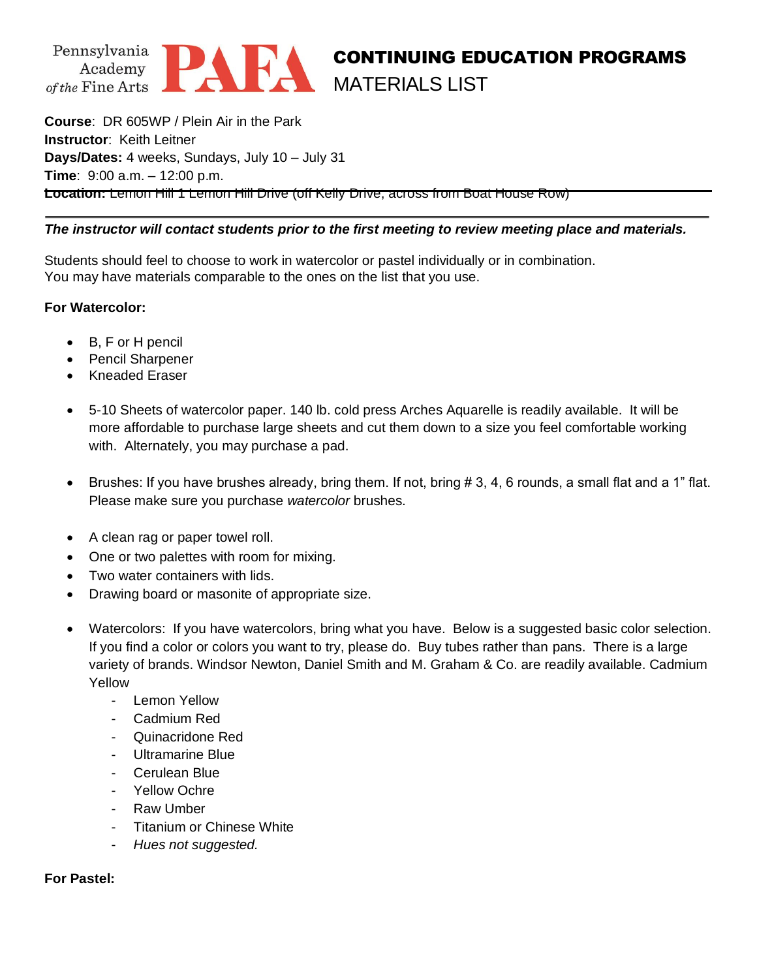

## CONTINUING EDUCATION PROGRAMS MATERIALS LIST

**Course**: DR 605WP / Plein Air in the Park **Instructor**: Keith Leitner **Days/Dates:** 4 weeks, Sundays, July 10 – July 31 **Time**: 9:00 a.m. – 12:00 p.m. **Location:** Lemon Hill 1 Lemon Hill Drive (off Kelly Drive, across from Boat House Row)

## *The instructor will contact students prior to the first meeting to review meeting place and materials.*

Students should feel to choose to work in watercolor or pastel individually or in combination. You may have materials comparable to the ones on the list that you use.

## **For Watercolor:**

- B, F or H pencil
- Pencil Sharpener
- Kneaded Eraser
- 5-10 Sheets of watercolor paper. 140 lb. cold press Arches Aquarelle is readily available. It will be more affordable to purchase large sheets and cut them down to a size you feel comfortable working with. Alternately, you may purchase a pad.
- Brushes: If you have brushes already, bring them. If not, bring # 3, 4, 6 rounds, a small flat and a 1" flat. Please make sure you purchase *watercolor* brushes.
- A clean rag or paper towel roll.
- One or two palettes with room for mixing.
- Two water containers with lids.
- Drawing board or masonite of appropriate size.
- Watercolors: If you have watercolors, bring what you have. Below is a suggested basic color selection. If you find a color or colors you want to try, please do. Buy tubes rather than pans. There is a large variety of brands. Windsor Newton, Daniel Smith and M. Graham & Co. are readily available. Cadmium Yellow
	- Lemon Yellow
	- Cadmium Red
	- Quinacridone Red
	- Ultramarine Blue
	- Cerulean Blue
	- Yellow Ochre
	- Raw Umber
	- Titanium or Chinese White
	- *Hues not suggested.*

## **For Pastel:**